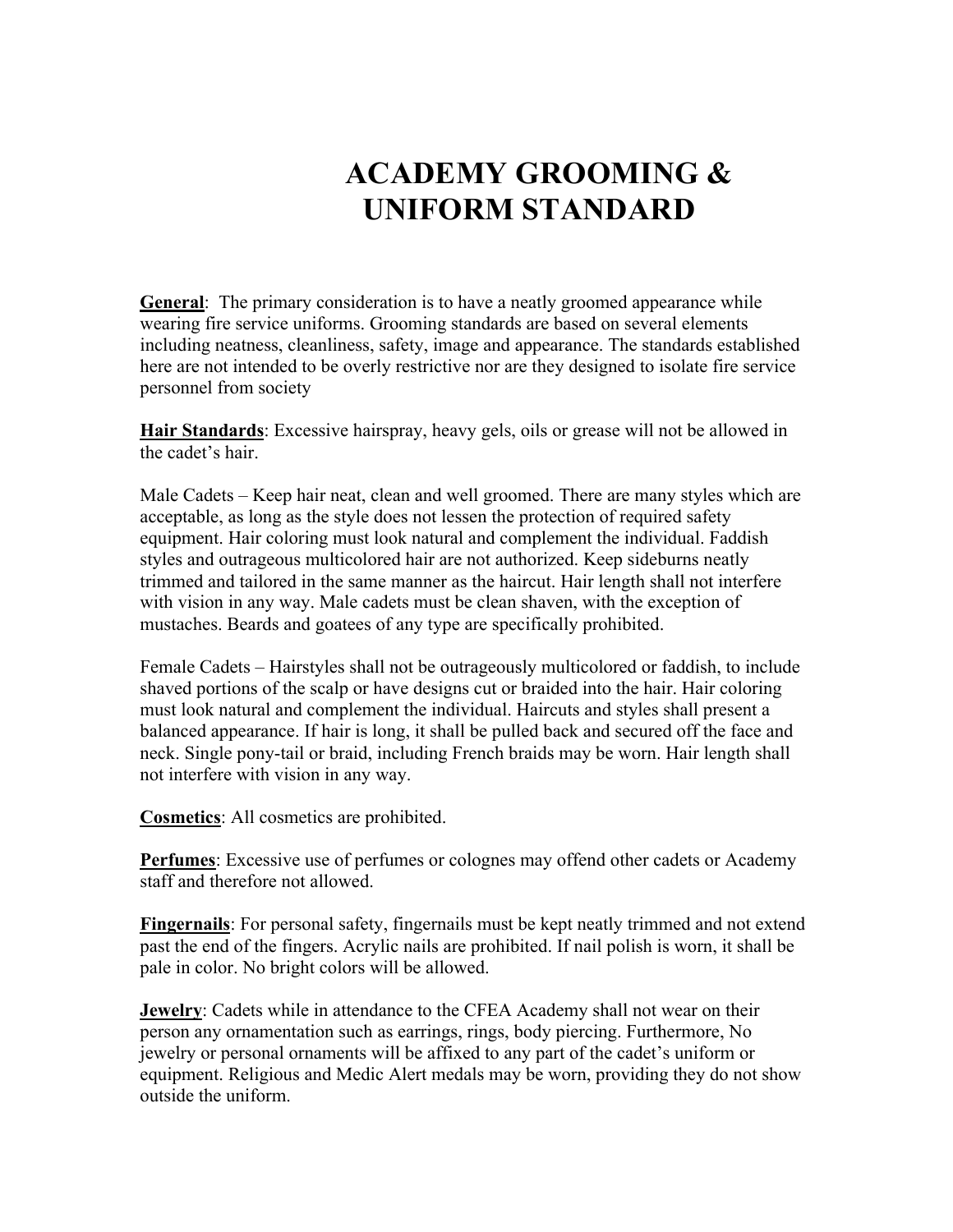## **ACADEMY GROOMING & UNIFORM STANDARD**

**General**: The primary consideration is to have a neatly groomed appearance while wearing fire service uniforms. Grooming standards are based on several elements including neatness, cleanliness, safety, image and appearance. The standards established here are not intended to be overly restrictive nor are they designed to isolate fire service personnel from society

**Hair Standards**: Excessive hairspray, heavy gels, oils or grease will not be allowed in the cadet's hair.

Male Cadets – Keep hair neat, clean and well groomed. There are many styles which are acceptable, as long as the style does not lessen the protection of required safety equipment. Hair coloring must look natural and complement the individual. Faddish styles and outrageous multicolored hair are not authorized. Keep sideburns neatly trimmed and tailored in the same manner as the haircut. Hair length shall not interfere with vision in any way. Male cadets must be clean shaven, with the exception of mustaches. Beards and goatees of any type are specifically prohibited.

Female Cadets – Hairstyles shall not be outrageously multicolored or faddish, to include shaved portions of the scalp or have designs cut or braided into the hair. Hair coloring must look natural and complement the individual. Haircuts and styles shall present a balanced appearance. If hair is long, it shall be pulled back and secured off the face and neck. Single pony-tail or braid, including French braids may be worn. Hair length shall not interfere with vision in any way.

**Cosmetics**: All cosmetics are prohibited.

**Perfumes**: Excessive use of perfumes or colognes may offend other cadets or Academy staff and therefore not allowed.

**Fingernails**: For personal safety, fingernails must be kept neatly trimmed and not extend past the end of the fingers. Acrylic nails are prohibited. If nail polish is worn, it shall be pale in color. No bright colors will be allowed.

**Jewelry**: Cadets while in attendance to the CFEA Academy shall not wear on their person any ornamentation such as earrings, rings, body piercing. Furthermore, No jewelry or personal ornaments will be affixed to any part of the cadet's uniform or equipment. Religious and Medic Alert medals may be worn, providing they do not show outside the uniform.